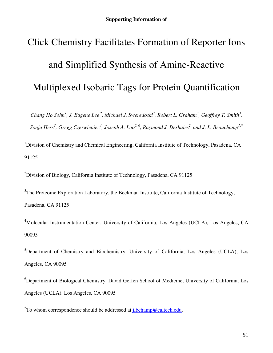# Click Chemistry Facilitates Formation of Reporter Ions and Simplified Synthesis of Amine-Reactive Multiplexed Isobaric Tags for Protein Quantification

*Chang Ho Sohn<sup>1</sup> , J. Eugene Lee<sup>2</sup>, Michael J. Sweredoski<sup>3</sup> , Robert L. Graham<sup>3</sup> , Geoffrey T. Smith<sup>3</sup> , Sonja Hess<sup>3</sup> , Gregg Czerwieniec<sup>4</sup> , Joseph A. Loo5, 6, Raymond J. Deshaies<sup>2</sup> , and J. L. Beauchamp1,\**

<sup>1</sup>Division of Chemistry and Chemical Engineering, California Institute of Technology, Pasadena, CA 91125

<sup>2</sup>Division of Biology, California Institute of Technology, Pasadena, CA 91125

 $3$ The Proteome Exploration Laboratory, the Beckman Institute, California Institute of Technology, Pasadena, CA 91125

<sup>4</sup>Molecular Instrumentation Center, University of California, Los Angeles (UCLA), Los Angeles, CA 90095

 ${}^{5}$ Department of Chemistry and Biochemistry, University of California, Los Angeles (UCLA), Los Angeles, CA 90095

 ${}^{6}$ Department of Biological Chemistry, David Geffen School of Medicine, University of California, Los Angeles (UCLA), Los Angeles, CA 90095

<sup>\*</sup>To whom correspondence should be addressed at **ilbchamp@caltech.edu**.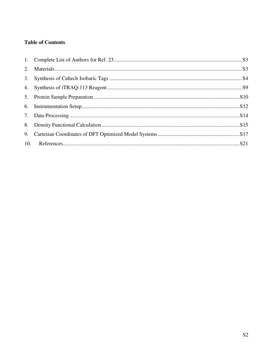# **Table of Contents**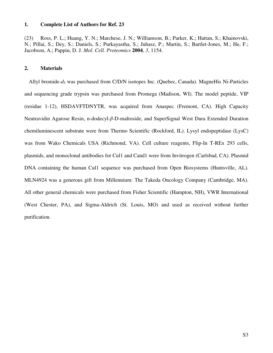#### <span id="page-2-0"></span>**1. Complete List of Authors for Ref. 23**

(23) Ross, P. L.; Huang, Y. N.; Marchese, J. N.; Williamson, B.; Parker, K.; Hattan, S.; Khainovski, N.; Pillai, S.; Dey, S.; Daniels, S.; Purkayastha, S.; Juhasz, P.; Martin, S.; Bartlet-Jones, M.; He, F.; Jacobson, A.; Pappin, D. J. *Mol. Cell. Proteomics* **2004**, *3*, 1154.

#### **2. Materials**

Allyl bromide-*d*5 was purchased from C/D/N isotopes Inc. (Quebec, Canada). MagneHis Ni-Particles and sequencing grade trypsin was purchased from Promega (Madison, WI). The model peptide, VIP (residue 1-12), HSDAVFTDNYTR, was acquired from Anaspec (Fremont, CA). High Capacity Neutravidin Agarose Resin, n-dodecyl-β-D-maltoside, and SuperSignal West Dura Extended Duration chemiluminescent substrate were from Thermo Scientific (Rockford, IL). Lysyl endopeptidase (LysC) was from Wako Chemicals USA (Richmond, VA). Cell culture reagents, Flip-In T-REx 293 cells, plasmids, and monoclonal antibodies for Cul1 and Cand1 were from Invitrogen (Carlsbad, CA). Plasmid DNA containing the human Cul1 sequence was purchased from Open Biosystems (Huntsville, AL). MLN4924 was a generous gift from Millennium: The Takeda Oncology Company (Cambridge, MA). All other general chemicals were purchased from Fisher Scientific (Hampton, NH), VWR International (West Chester, PA), and Sigma-Aldrich (St. Louis, MO) and used as received without further purification.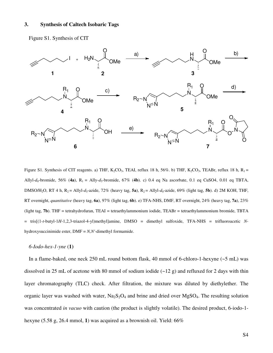#### <span id="page-3-0"></span>**3. Synthesis of Caltech Isobaric Tags**

Figure S1. Synthesis of CIT



Figure S1. Synthesis of CIT reagents. a) THF,  $K_2CO_3$ , TEAI, reflux 18 h, 56%. b) THF,  $K_2CO_3$ , TEABr, reflux 18 h,  $R_1 =$ Allyl- $d_0$ -bromide, 56% (4a),  $R_1 =$  Ally- $d_5$ -bromide, 67% (4b). c) 0.4 eq Na ascorbate, 0.1 eq CuSO4, 0.01 eq TBTA, DMSO/H<sub>2</sub>O, RT 4 h, R<sub>2</sub> = Allyl-*d<sub>5</sub>*-azide, 72% (heavy tag, **5a**), R<sub>2</sub> = Allyl-*d<sub>0</sub>*-azide, 69% (light tag, **5b**). d) 2M KOH, THF, RT overnight, *quantitative* (heavy tag, **6a**), 97% (light tag, **6b**). e) TFA-NHS, DMF, RT overnight, 24% (heavy tag, **7a**), 23% (light tag, **7b**). THF = tetrahydrofuran, TEAI = tetraethylammonium iodide, TEABr = tetraethylammonium bromide, TBTA = tris[(1-*t*-butyl-1*H*-1,2,3-triazol-4-yl)methyl]amine, DMSO = dimethyl sulfoxide, TFA-NHS = trifluoroacetic *N*hydroxysuccinimide ester, DMF = *N,N'*-dimethyl formamide.

#### *6-Iodo-hex-1-yne* (**1)**

In a flame-baked, one neck 250 mL round bottom flask, 40 mmol of 6-chloro-1-hexyne (~5 mL) was dissolved in 25 mL of acetone with 80 mmol of sodium iodide  $(-12 \text{ g})$  and refluxed for 2 days with thin layer chromatography (TLC) check. After filtration, the mixture was diluted by diethylether. The organic layer was washed with water,  $Na<sub>2</sub>S<sub>2</sub>O<sub>4</sub>$  and brine and dried over MgSO<sub>4</sub>. The resulting solution was concentrated *in vacuo* with caution (the product is slightly volatile). The desired product, 6-iodo-1 hexyne (5.58 g, 26.4 mmol, **1**) was acquired as a brownish oil. Yield: 66%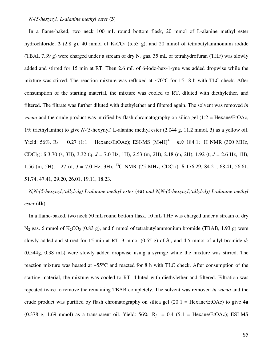#### *N-(5-hexynyl) L-alanine methyl ester* (**3**)

In a flame-baked, two neck 100 mL round bottom flask, 20 mmol of L-alanine methyl ester hydrochloride,  $2$  (2.8 g), 40 mmol of  $K_2CO_3$  (5.53 g), and 20 mmol of tetrabutylammonium iodide (TBAI, 7.39 g) were charged under a stream of dry  $N_2$  gas. 35 mL of tetrahydrofuran (THF) was slowly added and stirred for 15 min at RT. Then 2.6 mL of 6-iodo-hex-1-yne was added dropwise while the mixture was stirred. The reaction mixture was refluxed at ~70°C for 15-18 h with TLC check. After consumption of the starting material, the mixture was cooled to RT, diluted with diethylether, and filtered. The filtrate was further diluted with diethylether and filtered again. The solvent was removed *in vacuo* and the crude product was purified by flash chromatography on silica gel (1:2 = Hexane/EtOAc, 1% triethylamine) to give *N*-(5-hexynyl) L-alanine methyl ester (2.044 g, 11.2 mmol, **3**) as a yellow oil. Yield: 56%.  $R_f = 0.27$  (1:1 = Hexane/EtOAc); ESI-MS  $[M+H]^+ = m/z$  184.1; <sup>1</sup>H NMR (300 MHz, CDCl3): δ 3.70 (s, 3H), 3.32 (q, *J* = 7.0 Hz, 1H), 2.53 (m, 2H), 2.18 (m, 2H), 1.92 (t, *J* = 2.6 Hz, 1H), 1.56 (m, 5H), 1.27 (d,  $J = 7.0$  Hz, 3H); <sup>13</sup>C NMR (75 MHz, CDCl<sub>3</sub>):  $\delta$  176.29, 84.21, 68.41, 56.61, 51.74, 47.41, 29.20, 26.01, 19.11, 18.23.

 $N, N-(5-hexynyl)(allyl-d<sub>0</sub>)$  *L*-alanine methyl ester (4a) and  $N, N-(5-hexynyl)(allyl-d<sub>5</sub>)$  *L*-alanine methyl  $\text{cster}(\mathbf{4b})$ 

In a flame-baked, two neck 50 mL round bottom flask, 10 mL THF was charged under a stream of dry  $N_2$  gas. 6 mmol of  $K_2CO_3$  (0.83 g), and 6 mmol of tetrabutylammonium bromide (TBAB, 1.93 g) were slowly added and stirred for 15 min at RT. 3 mmol  $(0.55 \text{ g})$  of 3, and 4.5 mmol of allyl bromide- $d_0$ (0.544g, 0.38 mL) were slowly added dropwise using a syringe while the mixture was stirred. The reaction mixture was heated at ~55°C and reacted for 8 h with TLC check. After consumption of the starting material, the mixture was cooled to RT, diluted with diethylether and filtered. Filtration was repeated twice to remove the remaining TBAB completely. The solvent was removed *in vacuo* and the crude product was purified by flash chromatography on silica gel (20:1 = Hexane/EtOAc) to give **4a** (0.378 g, 1.69 mmol) as a transparent oil. Yield:  $56\%$ .  $R_f = 0.4$  (5:1 = Hexane/EtOAc); ESI-MS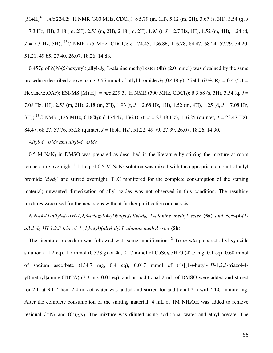$[M+H]$ <sup>+</sup> =  $m/z$  224.2; <sup>1</sup>H NMR (300 MHz, CDCl<sub>3</sub>):  $\delta$  5.79 (m, 1H), 5.12 (m, 2H), 3.67 (s, 3H), 3.54 (q, *J* = 7.3 Hz, 1H), 3.18 (m, 2H), 2.53 (m, 2H), 2.18 (m, 2H), 1.93 (t, *J* = 2.7 Hz, 1H), 1.52 (m, 4H), 1.24 (d,  $J = 7.3$  Hz, 3H); <sup>13</sup>C NMR (75 MHz, CDCl<sub>3</sub>):  $\delta$  174.45, 136.86, 116.78, 84.47, 68.24, 57.79, 54.20, 51.21, 49.85, 27.40, 26.07, 18.26, 14.88.

0.457g of *N,N*-(5-hexynyl)(allyl- $d_5$ ) L-alanine methyl ester (4b) (2.0 mmol) was obtained by the same procedure described above using 3.55 mmol of allyl bromide- $d_5$  (0.448 g). Yield: 67%. R<sub>f</sub> = 0.4 (5:1 = Hexane/EtOAc); ESI-MS  $[M+H]^+$  =  $m/z$  229.3; <sup>1</sup>H NMR (500 MHz, CDCl<sub>3</sub>):  $\delta$  3.68 (s, 3H), 3.54 (q, *J* = 7.08 Hz, 1H), 2.53 (m, 2H), 2.18 (m, 2H), 1.93 (t, *J* = 2.68 Hz, 1H), 1.52 (m, 4H), 1.25 (d, *J* = 7.08 Hz, 3H); <sup>13</sup>C NMR (125 MHz, CDCl3): δ 174.47, 136.16 (t, *J* = 23.48 Hz), 116.25 (quintet, *J* = 23.47 Hz), 84.47, 68.27, 57.76, 53.28 (quintet, *J* = 18.41 Hz), 51.22, 49.79, 27.39, 26.07, 18.26, 14.90.

#### *Allyl-d0 azide and allyl-d5 azide*

 $0.5$  M NaN<sub>3</sub> in DMSO was prepared as described in the literature by stirring the mixture at room temperature overnight.<sup>[1](#page-20-0)</sup> 1.1 eq of 0.5 M NaN<sub>3</sub> solution was mixed with the appropriate amount of allyl bromide  $(d_0/d_5)$  and stirred overnight. TLC monitored for the complete consumption of the starting material; unwanted dimerization of allyl azides was not observed in this condition. The resulting mixtures were used for the next steps without further purification or analysis.

*N,N-(4-(1-allyl-d5-1H-1,2,3-triazol-4-yl)butyl)(allyl-d0) L-alanine methyl ester* (**5a**) *and N,N-(4-(1 allyl-d0-1H-1,2,3-triazol-4-yl)butyl)(allyl-d5) L-alanine methyl ester* (**5b**)

The literature procedure was followed with some modifications.<sup>[2](#page-20-0)</sup> To *in situ* prepared allyl- $d_5$  azide solution  $(-1.2 \text{ eq})$ , 1.7 mmol  $(0.378 \text{ g})$  of  $4a$ , 0.17 mmol of  $CuSO<sub>4</sub>·5H<sub>2</sub>O$   $(42.5 \text{ mg}, 0.1 \text{ eq})$ , 0.68 mmol of sodium ascorbate (134.7 mg, 0.4 eq), 0.017 mmol of tris[(1-*t*-butyl-1*H*-1,2,3-triazol-4 yl)methyl]amine (TBTA) (7.3 mg, 0.01 eq), and an additional 2 mL of DMSO were added and stirred for 2 h at RT. Then, 2.4 mL of water was added and stirred for additional 2 h with TLC monitoring. After the complete consumption of the starting material, 4 mL of 1M NH<sub>4</sub>OH was added to remove residual CuN<sub>3</sub> and  $(Cu)_{2}N_3$ . The mixture was diluted using additional water and ethyl acetate. The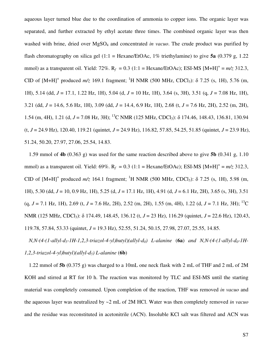aqueous layer turned blue due to the coordination of ammonia to copper ions. The organic layer was separated, and further extracted by ethyl acetate three times. The combined organic layer was then washed with brine, dried over MgSO<sub>4</sub> and concentrated *in vacuo*. The crude product was purified by flash chromatography on silica gel (1:1 = Hexane/EtOAc, 1% triethylamine) to give **5a** (0.379 g, 1.22 mmol) as a transparent oil. Yield: 72%.  $R_f = 0.3$  (1:1 = Hexane/EtOAc); ESI-MS  $[M+H]^+ = m/z$  312.3, CID of  $[M+H]^+$  produced  $m/z$  169.1 fragment; <sup>1</sup>H NMR (500 MHz, CDCl<sub>3</sub>):  $\delta$  7.25 (s, 1H), 5.76 (m, 1H), 5.14 (dd, *J* = 17.1, 1.22 Hz, 1H), 5.04 (d, *J* = 10 Hz, 1H), 3.64 (s, 3H), 3.51 (q, *J* = 7.08 Hz, 1H), 3.21 (dd, *J* = 14.6, 5.6 Hz, 1H), 3.09 (dd, *J* = 14.4, 6.9 Hz, 1H), 2.68 (t, *J* = 7.6 Hz, 2H), 2.52 (m, 2H), 1.54 (m, 4H), 1.21 (d, *J* = 7.08 Hz, 3H); <sup>13</sup>C NMR (125 MHz, CDCl3): δ 174.46, 148.43, 136.81, 130.94 (t, *J* = 24.9 Hz), 120.40, 119.21 (quintet, *J* = 24.9 Hz), 116.82, 57.85, 54.25, 51.85 (quintet, *J* = 23.9 Hz), 51.24, 50.20, 27.97, 27.06, 25.54, 14.83.

1.59 mmol of **4b** (0.363 g) was used for the same reaction described above to give **5b** (0.341 g, 1.10 mmol) as a transparent oil. Yield: 69%.  $R_f = 0.3$  (1:1 = Hexane/EtOAc); ESI-MS  $[M+H]^+ = m/z$  312.3, CID of  $[M+H]^+$  produced  $m/z$  164.1 fragment; <sup>1</sup>H NMR (500 MHz, CDCl<sub>3</sub>):  $\delta$  7.25 (s, 1H), 5.98 (m, 1H), 5.30 (dd, *J* = 10, 0.9 Hz, 1H), 5.25 (d, *J* = 17.1 Hz, 1H), 4.91 (d, *J* = 6.1 Hz, 2H), 3.65 (s, 3H), 3.51 (q, *J* = 7.1 Hz, 1H), 2.69 (t, *J* = 7.6 Hz, 2H), 2.52 (m, 2H), 1.55 (m, 4H), 1.22 (d, *J* = 7.1 Hz, 3H); <sup>13</sup>C NMR (125 MHz, CDCl<sub>3</sub>): δ 174.49, 148.45, 136.12 (t, *J* = 23 Hz), 116.29 (quintet, *J* = 22.6 Hz), 120.43, 119.78, 57.84, 53.33 (quintet, *J* = 19.3 Hz), 52.55, 51.24, 50.15, 27.98, 27.07, 25.55, 14.85.

*N,N-(4-(1-allyl-d5-1H-1,2,3-triazol-4-yl)butyl)(allyl-d0) L-alanine* (**6a**) *and N,N-(4-(1-allyl-d0-1H-1,2,3-triazol-4-yl)butyl)(allyl-d5) L-alanine* (**6b**)

1.22 mmol of **5b** (0.375 g) was charged to a 10mL one neck flask with 2 mL of THF and 2 mL of 2M KOH and stirred at RT for 10 h. The reaction was monitored by TLC and ESI-MS until the starting material was completely consumed. Upon completion of the reaction, THF was removed *in vacuo* and the aqueous layer was neutralized by ~2 mL of 2M HCl. Water was then completely removed *in vacuo* and the residue was reconstituted in acetonitrile (ACN). Insoluble KCl salt was filtered and ACN was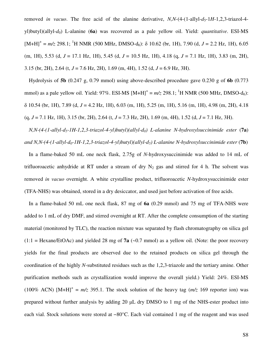removed *in vacuo*. The free acid of the alanine derivative, *N,N*-(4-(1-allyl- $d<sub>5</sub>$ -1*H*-1,2,3-triazol-4yl)butyl)(allyl-*d*0) L-alanine (**6a**) was recovered as a pale yellow oil. Yield: *quantitative*. ESI-MS  $[M+H]^{+} = m/z$  298.1; <sup>1</sup>H NMR (500 MHz, DMSO-d<sub>6</sub>): δ 10.62 (br, 1H), 7.90 (d, *J* = 2.2 Hz, 1H), 6.05 (m, 1H), 5.53 (d, *J* = 17.1 Hz, 1H), 5.45 (d, *J* = 10.5 Hz, 1H), 4.18 (q, *J* = 7.1 Hz, 1H), 3.83 (m, 2H), 3.15 (br, 2H), 2.64 (t, *J* = 7.6 Hz, 2H), 1.69 (m, 4H), 1.52 (d, *J* = 6.9 Hz, 3H).

Hydrolysis of **5b** (0.247 g, 0.79 mmol) using above-described procedure gave 0.230 g of **6b** (0.773 mmol) as a pale yellow oil. Yield: 97%. ESI-MS  $[M+H]^+ = m/z$  298.1; <sup>1</sup>H NMR (500 MHz, DMSO-d<sub>6</sub>): δ 10.54 (br, 1H), 7.89 (d, *J* = 4.2 Hz, 1H), 6.03 (m, 1H), 5.25 (m, 1H), 5.16 (m, 1H), 4.98 (m, 2H), 4.18 (q, *J* = 7.1 Hz, 1H), 3.15 (br, 2H), 2.64 (t, *J* = 7.3 Hz, 2H), 1.69 (m, 4H), 1.52 (d, *J* = 7.1 Hz, 3H).

*N,N-(4-(1-allyl-d5-1H-1,2,3-triazol-4-yl)butyl)(allyl-d0) L-alanine N-hydroxylsuccinimide ester* (**7a**) *and N,N-(4-(1-allyl-d0-1H-1,2,3-triazol-4-yl)butyl)(allyl-d5) L-alanine N-hydroxylsuccinimide ester* (**7b**)

In a flame-baked 50 mL one neck flask, 2.75g of *N*-hydroxysuccinimide was added to 14 mL of trifluoroacetic anhydride at RT under a stream of dry  $N_2$  gas and stirred for 4 h. The solvent was removed *in vacuo* overnight. A white crystalline product, trifluoroacetic *N*-hydroxysuccinimide ester (TFA-NHS) was obtained, stored in a dry desiccator, and used just before activation of free acids.

In a flame-baked 50 mL one neck flask, 87 mg of **6a** (0.29 mmol) and 75 mg of TFA-NHS were added to 1 mL of dry DMF, and stirred overnight at RT. After the complete consumption of the starting material (monitored by TLC), the reaction mixture was separated by flash chromatography on silica gel  $(1:1 = \text{Hexane/EtOAc})$  and yielded 28 mg of **7a** (~0.7 mmol) as a yellow oil. (Note: the poor recovery yields for the final products are observed due to the retained products on silica gel through the coordination of the highly *N*-substituted residues such as the 1,2,3-triazole and the tertiary amine. Other purification methods such as crystallization would improve the overall yield.) Yield: 24%. ESI-MS (100% ACN)  $[M+H]^+ = m/z$  395.1. The stock solution of the heavy tag  $(m/z)$  169 reporter ion) was prepared without further analysis by adding 20 µL dry DMSO to 1 mg of the NHS-ester product into each vial. Stock solutions were stored at −80°C. Each vial contained 1 mg of the reagent and was used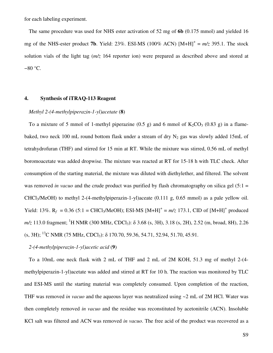<span id="page-8-0"></span>for each labeling experiment.

The same procedure was used for NHS ester activation of 52 mg of **6b** (0.175 mmol) and yielded 16 mg of the NHS-ester product **7b**. Yield: 23%. ESI-MS (100% ACN)  $[M+H]^{+} = m/z$  395.1. The stock solution vials of the light tag (*m/z* 164 reporter ion) were prepared as described above and stored at −80 °C.

#### **4. Synthesis of iTRAQ-113 Reagent**

#### *Methyl 2-(4-methylpiperazin-1-yl)acetate* (**8**)

To a mixture of 5 mmol of 1-methyl piperazine  $(0.5 \text{ g})$  and 6 mmol of  $K_2CO_3$  (0.83 g) in a flamebaked, two neck 100 mL round bottom flask under a stream of dry  $N_2$  gas was slowly added 15mL of tetrahydrofuran (THF) and stirred for 15 min at RT. While the mixture was stirred, 0.56 mL of methyl boromoacetate was added dropwise. The mixture was reacted at RT for 15-18 h with TLC check. After consumption of the starting material, the mixture was diluted with diethylether, and filtered. The solvent was removed *in vacuo* and the crude product was purified by flash chromatography on silica gel (5:1 = CHCl3/MeOH) to methyl 2-(4-methylpiperazin-1-yl)aceate (0.111 g, 0.65 mmol) as a pale yellow oil. Yield: 13%.  $R_f = 0.36$  (5:1 = CHCl<sub>3</sub>/MeOH); ESI-MS  $[M+H]^+ = m/z$  173.1, CID of  $[M+H]^+$  produced *m/z* 113.0 fragment; <sup>1</sup>H NMR (300 MHz, CDCl<sub>3</sub>): δ 3.68 (s, 3H), 3.18 (s, 2H), 2.52 (m, broad, 8H), 2.26  $(s, 3H)$ ; <sup>13</sup>C NMR (75 MHz, CDCl<sub>3</sub>):  $\delta$  170.70, 59.36, 54.71, 52.94, 51.70, 45.91.

#### *2-(4-methylpiperazin-1-yl)acetic acid* (**9**)

To a 10mL one neck flask with 2 mL of THF and 2 mL of 2M KOH, 51.3 mg of methyl 2-(4 methylpiperazin-1-yl)acetate was added and stirred at RT for 10 h. The reaction was monitored by TLC and ESI-MS until the starting material was completely consumed. Upon completion of the reaction, THF was removed *in vacuo* and the aqueous layer was neutralized using ~2 mL of 2M HCl. Water was then completely removed *in vacuo* and the residue was reconstituted by acetonitrile (ACN). Insoluble KCl salt was filtered and ACN was removed *in vacuo*. The free acid of the product was recovered as a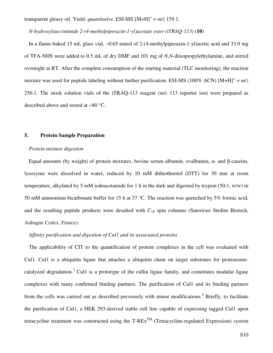<span id="page-9-0"></span>transparent gleasy oil. Yield: *quantitative*. ESI-MS [M+H]<sup>+</sup> =  $m/z$  159.1.

*N-hydroxylsuccinimide 2-(4-methylpiperazin-1-yl)acetate ester (iTRAQ-113)* (**10**)

In a flame-baked 15 mL glass vial, ~0.65 mmol of 2-(4-methylpiperazin-1-yl)acetic acid and 33.0 mg of TFA-NHS were added to 0.5 mL of dry DMF and 101 mg of *N*,*N*-diisopropylethylamine, and stirred overnight at RT. After the complete consumption of the starting material (TLC monitoring), the reaction mixture was used for peptide labeling without further purification. ESI-MS (100% ACN)  $[M+H]^{+} = m/z$ 256.1. The stock solution vials of the iTRAQ-113 reagent (*m/z* 113 reporter ion) were prepared as described above and stored at −80 °C.

#### **5. Protein Sample Preparation**

#### *Protein mixture digestion*

Equal amounts (by weight) of protein mixtures, bovine serum albumin, ovalbumin,  $α-$  and β-caseins, lysozyme were dissolved in water, reduced by 10 mM dithiothreitol (DTT) for 30 min at room temperature, alkylated by 5 mM iodoacetamide for 1 h in the dark and digested by trypsin (50:1, w/w) in 50 mM ammonium bicarbonate buffer for 15 h at 37 °C. The reaction was quenched by 5% formic acid, and the resulting peptide products were desalted with  $C_{18}$  spin columns (Satorious Stedim Biotech, Aubagne Cedex, France).

#### *Affinity purification and digestion of Cul1 and its associated proteins*

The applicability of CIT to the quantification of protein complexes in the cell was evaluated with Cul1. Cul1 is a ubiquitin ligase that attaches a ubiquitin chain on target substrates for proteasome-catalyzed degradation.<sup>[3](#page-20-0)</sup> Cul1 is a prototype of the cullin ligase family, and constitutes modular ligase complexes with many confirmed binding partners. The purification of Cul1 and its binding partners from the cells was carried out as described previously with minor modifications*.* [4](#page-20-0) Briefly, to facilitate the purification of Cul1, a HEK 293-derived stable cell line capable of expressing tagged Cul1 upon tetracycline treatment was constructed using the  $T-REx^{TM}$  (Tetracycline-regulated Expression) system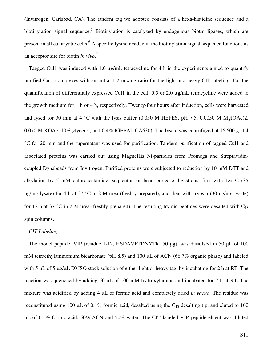(Invitrogen, Carlsbad, CA). The tandem tag we adopted consists of a hexa-histidine sequence and a biotinylation signal sequence.<sup>[5](#page-20-0)</sup> Biotinylation is catalyzed by endogenous biotin ligases, which are present in all eukaryotic cells.<sup>[6](#page-20-0)</sup> A specific lysine residue in the biotinylation signal sequence functions as an acceptor site for biotin *in vivo*. [7](#page-20-0)

Tagged Cul1 was induced with 1.0 µg/mL tetracycline for 4 h in the experiments aimed to quantify purified Cul1 complexes with an initial 1:2 mixing ratio for the light and heavy CIT labeling. For the quantification of differentially expressed Cul1 in the cell, 0.5 or 2.0 µg/mL tetracycline were added to the growth medium for 1 h or 4 h, respectively. Twenty-four hours after induction, cells were harvested and lysed for 30 min at 4  $^{\circ}$ C with the lysis buffer (0.050 M HEPES, pH 7.5, 0.0050 M Mg(OAc)2, 0.070 M KOAc, 10% glycerol, and 0.4% IGEPAL CA630). The lysate was centrifuged at 16,600 g at 4 °C for 20 min and the supernatant was used for purification. Tandem purification of tagged Cul1 and associated proteins was carried out using MagneHis Ni-particles from Promega and Streptavidincoupled Dynabeads from Invitrogen. Purified proteins were subjected to reduction by 10 mM DTT and alkylation by 5 mM chloroacetamide, sequential on-bead protease digestions, first with Lys-C (35 ng/mg lysate) for 4 h at 37 °C in 8 M urea (freshly prepared), and then with trypsin (30 ng/mg lysate) for 12 h at 37 °C in 2 M urea (freshly prepared). The resulting tryptic peptides were desalted with  $C_{18}$ spin columns.

#### *CIT Labeling*

The model peptide, VIP (residue 1-12, HSDAVFTDNYTR; 50 µg), was dissolved in 50 µL of 100 mM tetraethylammonium bicarbonate (pH 8.5) and 100 µL of ACN (66.7% organic phase) and labeled with 5  $\mu$ L of 5  $\mu$ g/ $\mu$ L DMSO stock solution of either light or heavy tag, by incubating for 2 h at RT. The reaction was quenched by adding 50 µL of 100 mM hydroxylamine and incubated for 7 h at RT. The mixture was acidified by adding 4 µL of formic acid and completely dried *in vacuo*. The residue was reconstituted using 100  $\mu$ L of 0.1% formic acid, desalted using the C<sub>18</sub> desalting tip, and eluted to 100 µL of 0.1% formic acid, 50% ACN and 50% water. The CIT labeled VIP peptide eluent was diluted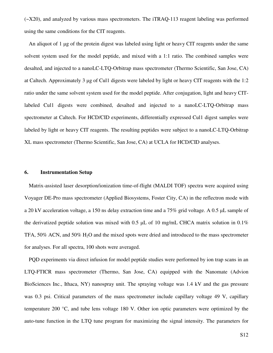<span id="page-11-0"></span>(~X20), and analyzed by various mass spectrometers. The iTRAQ-113 reagent labeling was performed using the same conditions for the CIT reagents.

An aliquot of 1 µg of the protein digest was labeled using light or heavy CIT reagents under the same solvent system used for the model peptide, and mixed with a 1:1 ratio. The combined samples were desalted, and injected to a nanoLC-LTQ-Orbitrap mass spectrometer (Thermo Scientific, San Jose, CA) at Caltech. Approximately 3 µg of Cul1 digests were labeled by light or heavy CIT reagents with the 1:2 ratio under the same solvent system used for the model peptide. After conjugation, light and heavy CITlabeled Cul1 digests were combined, desalted and injected to a nanoLC-LTQ-Orbitrap mass spectrometer at Caltech. For HCD/CID experiments, differentially expressed Cul1 digest samples were labeled by light or heavy CIT reagents. The resulting peptides were subject to a nanoLC-LTQ-Orbitrap XL mass spectrometer (Thermo Scientific, San Jose, CA) at UCLA for HCD/CID analyses.

#### **6. Instrumentation Setup**

Matrix-assisted laser desorption/ionization time-of-flight (MALDI TOF) spectra were acquired using Voyager DE-Pro mass spectrometer (Applied Biosystems, Foster City, CA) in the reflectron mode with a 20 kV acceleration voltage, a 150 ns delay extraction time and a 75% grid voltage. A 0.5 µL sample of the derivatized peptide solution was mixed with 0.5  $\mu$ L of 10 mg/mL CHCA matrix solution in 0.1% TFA, 50% ACN, and 50% H<sub>2</sub>O and the mixed spots were dried and introduced to the mass spectrometer for analyses. For all spectra, 100 shots were averaged.

PQD experiments via direct infusion for model peptide studies were performed by ion trap scans in an LTQ-FTICR mass spectrometer (Thermo, San Jose, CA) equipped with the Nanomate (Advion BioSciences Inc., Ithaca, NY) nanospray unit. The spraying voltage was 1.4 kV and the gas pressure was 0.3 psi. Critical parameters of the mass spectrometer include capillary voltage 49 V, capillary temperature 200 °C, and tube lens voltage 180 V. Other ion optic parameters were optimized by the auto-tune function in the LTQ tune program for maximizing the signal intensity. The parameters for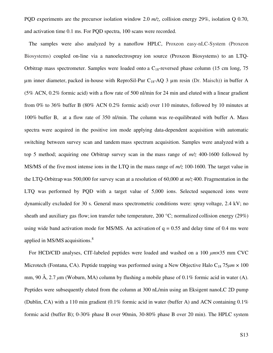PQD experiments are the precursor isolation window 2.0 *m/z*, collision energy 29%, isolation Q 0.70, and activation time 0.1 ms. For PQD spectra, 100 scans were recorded.

The samples were also analyzed by a nanoflow HPLC, Proxeon easy-nLC-System (Proxeon Biosystems) coupled on-line via a nanoelectrospray ion source (Proxeon Biosystems) to an LTQ-Orbitrap mass spectrometer. Samples were loaded onto a  $C_{18}$ -reversed phase column (15 cm long, 75 µm inner diameter, packed in-house with ReproSil-Pur C18-AQ 3 µm resin (Dr. Maisch)) in buffer A (5% ACN, 0.2% formic acid) with a flow rate of 500 nl/min for 24 min and eluted with a linear gradient from 0% to 36% buffer B (80% ACN 0.2% formic acid) over 110 minutes, followed by 10 minutes at 100% buffer B, at a flow rate of 350 nl/min. The column was re-equilibrated with buffer A. Mass spectra were acquired in the positive ion mode applying data-dependent acquisition with automatic switching between survey scan and tandem mass spectrum acquisition. Samples were analyzed with a top 5 method; acquiring one Orbitrap survey scan in the mass range of *m/z* 400-1600 followed by MS/MS of the five most intense ions in the LTQ in the mass range of *m/z* 100-1600. The target value in the LTQ-Orbitrap was 500,000 for survey scan at a resolution of 60,000 at *m/z* 400. Fragmentation in the LTQ was performed by PQD with a target value of 5,000 ions. Selected sequenced ions were dynamically excluded for 30 s. General mass spectrometric conditions were: spray voltage, 2.4 kV; no sheath and auxiliary gas flow; ion transfer tube temperature, 200 °C; normalized collision energy (29%) using wide band activation mode for MS/MS. An activation of  $q = 0.55$  and delay time of 0.4 ms were applied in MS/MS acquisitions.<sup>[8](#page-20-0)</sup>

For HCD/CID analyses, CIT-labeled peptides were loaded and washed on a 100 µ*m*×35 mm CVC Microtech (Fontana, CA). Peptide trapping was performed using a New Objective Halo  $C_{18}$  75 $\mu$ m  $\times$  100 mm, 90 Å, 2.7  $\mu$ m (Woburn, MA) column by flushing a mobile phase of 0.1% formic acid in water (A). Peptides were subsequently eluted from the column at 300 nL/min using an Eksigent nanoLC 2D pump (Dublin, CA) with a 110 min gradient  $(0.1\%$  formic acid in water (buffer A) and ACN containing  $0.1\%$ formic acid (buffer B); 0-30% phase B over 90min, 30-80% phase B over 20 min). The HPLC system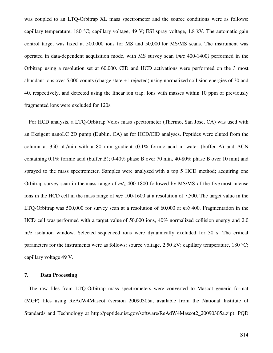<span id="page-13-0"></span>was coupled to an LTQ-Orbitrap XL mass spectrometer and the source conditions were as follows: capillary temperature, 180 °C; capillary voltage, 49 V; ESI spray voltage, 1.8 kV. The automatic gain control target was fixed at 500,000 ions for MS and 50,000 for MS/MS scans. The instrument was operated in data-dependent acquisition mode, with MS survey scan (*m/z* 400-1400*)* performed in the Orbitrap using a resolution set at 60,000. CID and HCD activations were performed on the 3 most abundant ions over 5,000 counts (charge state +1 rejected) using normalized collision energies of 30 and 40, respectively, and detected using the linear ion trap. Ions with masses within 10 ppm of previously fragmented ions were excluded for 120s.

For HCD analysis, a LTQ-Orbitrap Velos mass spectrometer (Thermo, San Jose, CA) was used with an Eksigent nanoLC 2D pump (Dublin, CA) as for HCD/CID analyses. Peptides were eluted from the column at 350 nL/min with a 80 min gradient (0.1% formic acid in water (buffer A) and ACN containing 0.1% formic acid (buffer B); 0-40% phase B over 70 min, 40-80% phase B over 10 min) and sprayed to the mass spectrometer. Samples were analyzed with a top 5 HCD method; acquiring one Orbitrap survey scan in the mass range of *m/z* 400-1800 followed by MS/MS of the five most intense ions in the HCD cell in the mass range of *m/z* 100-1600 at a resolution of 7,500. The target value in the LTQ-Orbitrap was 500,000 for survey scan at a resolution of 60,000 at *m/z* 400. Fragmentation in the HCD cell was performed with a target value of 50,000 ions, 40% normalized collision energy and 2.0 m/z isolation window. Selected sequenced ions were dynamically excluded for 30 s. The critical parameters for the instruments were as follows: source voltage, 2.50 kV; capillary temperature, 180 °C; capillary voltage 49 V.

#### **7. Data Processing**

The raw files from LTQ-Orbitrap mass spectrometers were converted to Mascot generic format (MGF) files using ReAdW4Mascot (version 20090305a, available from the National Institute of Standards and Technology at http://peptide.nist.gov/software/ReAdW4Mascot2\_20090305a.zip). PQD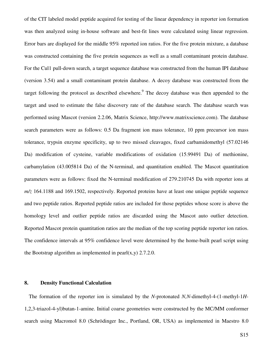<span id="page-14-0"></span>of the CIT labeled model peptide acquired for testing of the linear dependency in reporter ion formation was then analyzed using in-house software and best-fit lines were calculated using linear regression. Error bars are displayed for the middle 95% reported ion ratios. For the five protein mixture, a database was constructed containing the five protein sequences as well as a small contaminant protein database. For the Cul1 pull-down search, a target sequence database was constructed from the human IPI database (version 3.54) and a small contaminant protein database. A decoy database was constructed from the target following the protocol as described elsewhere.<sup>[9](#page-20-0)</sup> The decoy database was then appended to the target and used to estimate the false discovery rate of the database search. The database search was performed using Mascot (version 2.2.06, Matrix Science, http://www.matrixscience.com). The database search parameters were as follows: 0.5 Da fragment ion mass tolerance, 10 ppm precursor ion mass tolerance, trypsin enzyme specificity, up to two missed cleavages, fixed carbamidomethyl (57.02146 Da) modification of cysteine, variable modifications of oxidation (15.99491 Da) of methionine, carbamylation (43.005814 Da) of the N-terminal, and quantitation enabled. The Mascot quantitation parameters were as follows: fixed the N-terminal modification of 279.210745 Da with reporter ions at *m/z* 164.1188 and 169.1502, respectively. Reported proteins have at least one unique peptide sequence and two peptide ratios. Reported peptide ratios are included for those peptides whose score is above the homology level and outlier peptide ratios are discarded using the Mascot auto outlier detection. Reported Mascot protein quantitation ratios are the median of the top scoring peptide reporter ion ratios. The confidence intervals at 95% confidence level were determined by the home-built pearl script using the Bootstrap algorithm as implemented in pearl $(x,y)$  2.7.2.0.

#### **8. Density Functional Calculation**

The formation of the reporter ion is simulated by the *N*-protonated *N,N*-dimethyl-4-(1-methyl-1*H*-1,2,3-triazol-4-yl)butan-1-amine. Initial coarse geometries were constructed by the MC/MM conformer search using Macromol 8.0 (Schrödinger Inc., Portland, OR, USA) as implemented in Maestro 8.0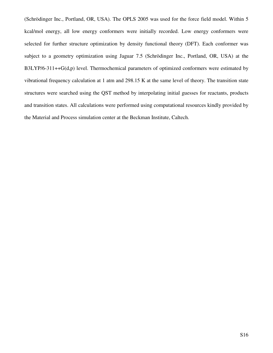(Schrödinger Inc., Portland, OR, USA). The OPLS 2005 was used for the force field model. Within 5 kcal/mol energy, all low energy conformers were initially recorded. Low energy conformers were selected for further structure optimization by density functional theory (DFT). Each conformer was subject to a geometry optimization using Jaguar 7.5 (Schrödinger Inc., Portland, OR, USA) at the B3LYP/6-311++G(d,p) level. Thermochemical parameters of optimized conformers were estimated by vibrational frequency calculation at 1 atm and 298.15 K at the same level of theory. The transition state structures were searched using the QST method by interpolating initial guesses for reactants, products and transition states. All calculations were performed using computational resources kindly provided by the Material and Process simulation center at the Beckman Institute, Caltech.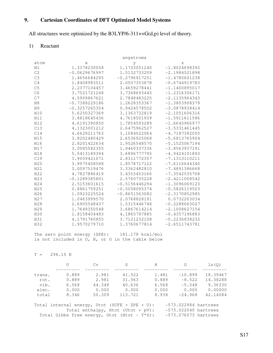# <span id="page-16-0"></span>**9. Cartesian Coordinates of DFT Optimized Model Systems**

All structures were optimized by the B3LYP/6-311++G(d,p) level of theory.

# 1) Reactant

|                 |                 | angstroms       |                 |
|-----------------|-----------------|-----------------|-----------------|
| atom            | X               | У               | Ζ               |
| N1              | 1.3378230058    | 1.1723051240    | $-1.8024698392$ |
| C <sub>2</sub>  | $-0.0629676997$ | 1.5132733209    | $-2.1984521898$ |
| C3              | 1.4656684295    | $-0.2796917251$ | $-1.4780601238$ |
| C <sub>4</sub>  | 1.8408983511    | 2.0507353878    | $-0.6744919783$ |
| C <sub>5</sub>  | 2.2377104457    | 3.4659278441    | $-1.1400895017$ |
| C <sub>6</sub>  | 3.7521721248    | 3.7368693445    | $-1.2316306171$ |
| C7              | 4.5909867621    | 2.7848483225    | $-2.1135964343$ |
| H8              | $-0.7388229186$ | 1.2628353367    | $-1.3803908379$ |
| H <sub>9</sub>  | $-0.3257265354$ | 0.9424578502    | $-3.0878938414$ |
| H10             | 5.6250327369    | 3.1363732819    | $-2.1051606316$ |
| H11             | 3.8818645436    | 4.7618501939    | $-1.5911611586$ |
| H12             | 4.6191390850    | 1.7854593289    | $-1.6645966977$ |
| C13             | 4.1323001212    | 2.6475962527    | $-3.5331461445$ |
| C14             | 4.6629211763    | 3.1084022064    | $-4.7187392055$ |
| N15             | 3.8202480429    | 2.6536925068    | $-5.6813765904$ |
| N16             | 2.8201422634    | 1.9526548570    | $-5.1525067194$ |
| N17             | 3.0085582355    | 1.9460337336    | $-3.8563937191$ |
| H18             | 5.5413189394    | 3.6896777795    | $-4.9424101893$ |
| C19             | 3.9059421071    | 2.8311772357    | $-7.1313110211$ |
| H20             | 3.9975408588    | 1.8578717122    | $-7.6116644340$ |
| H21             | 3.0097519476    | 3.3362482810    | $-7.4891386668$ |
| H22             | 4.7827886419    | 3.4353453166    | $-7.3542535708$ |
| H23             | $-0.1289385801$ | 2.5760735228    | $-2.4211008542$ |
| H24             | 2.5153601615    | $-0.5156446294$ | $-1.3096069123$ |
| H25             | 0.8861759251    | $-0.5058095374$ | $-0.5826119503$ |
| H26             | 1.0923225524    | $-0.8651563082$ | $-2.3170852985$ |
| H <sub>27</sub> | 1.0463999570    | 2.0768828191    | 0.0732203034    |
| H28             | 2.6905548437    | 1.5315446748    | $-0.2288663027$ |
| H29             | 1.7649350548    | 3.6867614214    | $-2.1008627154$ |
| H30             | 1.8158404483    | 4.1865797885    | $-0.4357196883$ |
| H31             | 4.1791760855    | 3.7121232108    | $-0.2236838232$ |
| H32             | 1.9570279710    | 1.3760677814    | $-2.6511743781$ |

 The zero point energy (ZPE): 181.178 kcal/mol is not included in U, H, or G in the table below

#### $T = 298.15 K$

|                                                                         |                                                                          | Cv     | S       | H     | G         | ln(O)    |  |  |
|-------------------------------------------------------------------------|--------------------------------------------------------------------------|--------|---------|-------|-----------|----------|--|--|
|                                                                         |                                                                          |        |         |       |           |          |  |  |
| trans.                                                                  | 0.889                                                                    | 2.981  | 41.522  | 1.481 | $-10.899$ | 18.39467 |  |  |
| rot.                                                                    | 0.889                                                                    | 2.981  | 31.563  | 0.889 | $-8.522$  | 14.38288 |  |  |
| vib.                                                                    | 6.568                                                                    | 44.348 | 40.636  | 6.568 | $-5.548$  | 9.36330  |  |  |
| elec.                                                                   | 0.000                                                                    | 0.000  | 0.000   | 0.000 | 0.000     | 0.00000  |  |  |
| total                                                                   | 8.346                                                                    | 50.309 | 113.721 | 8.938 | $-24.968$ | 42.14084 |  |  |
| $-573.022984$ hartrees<br>Total internal energy, Utot (SCFE + ZPE + U): |                                                                          |        |         |       |           |          |  |  |
|                                                                         |                                                                          |        |         |       |           |          |  |  |
| $-573.022040$ hartrees<br>Total enthalpy, Htot (Utot + $pV$ ):          |                                                                          |        |         |       |           |          |  |  |
|                                                                         | $-573.076073$ hartrees<br>Total Gibbs free energy, Gtot (Htot - $T*S$ ): |        |         |       |           |          |  |  |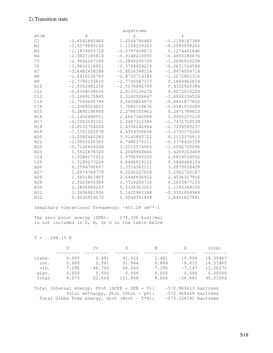|                 |                 | angstroms       |                 |
|-----------------|-----------------|-----------------|-----------------|
| atom            | X               | y               | Ζ               |
| C1              | $-2.6041842460$ | 1.0544796483    | $-1.1194187389$ |
| N <sub>2</sub>  | $-1.5579899142$ | 1.1108219162    | $-0.2595038202$ |
| N <sub>3</sub>  | $-1.1874925718$ | $-0.0797439873$ | 0.1274401846    |
| N <sub>4</sub>  | $-2.0021185818$ | $-0.9348210093$ | $-0.4855180876$ |
| C <sub>5</sub>  | $-2.9006267189$ | $-0.2845250729$ | $-1.2696915238$ |
| C <sub>6</sub>  | $-1.8602118951$ | $-2.3744454219$ | $-0.2631524588$ |
| H7              | $-3.6482458388$ | $-0.8016398124$ | $-1.8474004714$ |
| H8              | $-1.6416106769$ | $-2.8732714384$ | $-1.2072862316$ |
| H <sub>9</sub>  | $-2.7790153610$ | $-2.7730587377$ | 0.1668462654    |
| H10             | $-1.0352481236$ | $-2.5176992799$ | 0.4302920384    |
| C11             | $-0.6308338039$ | 2.8133139270    | 0.4072010224    |
| C12             | $-3.1669175845$ | 2.3160926647    | $-1.6932156524$ |
| C13             | $-2.7593690749$ | 3.5439864973    | $-0.8631877832$ |
| C14             | $-1.2365024023$ | 3.7083118676    | $-0.6581010269$ |
| H15             | 0.2892146950    | 2.2786355962    | 0.2471789613    |
| H16             | $-1.1402488051$ | 2.6667342068    | 1.3455253218    |
| H17             | $-4.2563193161$ | 2.2497315384    | $-1.7472710539$ |
| H18             | $-2.8133754008$ | 2.4356246984    | $-2.7239595237$ |
| H19             | $-3.1301205978$ | 4.4354356608    | $-1.3735370266$ |
| H20             | $-3.2582460283$ | 3.5143892722    | 0.1115370915    |
| H21             | $-1.0565026365$ | 4.7480373111    | $-0.3778430109$ |
| H22             | $-0.7106663248$ | 3.5515574565    | $-1.6042725096$ |
| N23             | 0.5922876320    | 4.2049968666    | 1.4269163409    |
| C24             | 1.0286171012    | 3.5706943350    | 2.6834534042    |
| C25             | 1.7189277228    | 4.6446919132    | 0.5848468104    |
| H26             | 0.1594706697    | 3.3314362111    | 3.2979028429    |
| H <sub>27</sub> | 1.6974768779    | 4.2206227658    | 3.2562720187    |
| H28             | 1.5601863403    | 2.6446606922    | 2.4536317916    |
| H29             | 2.3023665369    | 3.7719250716    | 0.2833477133    |
| H30             | 2.3806880243    | 5.3336363262    | 1.1193368335    |
| H31             | 1.3436861936    | 5.1420963168    | $-0.3101004968$ |
| H32             | 0.0020818173    | 5.0044351458    | 1.6451627981    |

Imaginary vibrational frequency: -451.28 cm\*\*-1

 The zero point energy (ZPE): 179.336 kcal/mol is not included in U, H, or G in the table below

 $T = 298.15 K$ 

|        |       | Cv     | S       | H     | G         | ln(0)    |
|--------|-------|--------|---------|-------|-----------|----------|
|        |       |        |         |       |           |          |
| trans. | 0.889 | 2.981  | 41.522  | 1.481 | $-10.899$ | 18.39467 |
| rot.   | 0.889 | 2.981  | 31.944  | 0.889 | $-8.635$  | 14.57465 |
| vib.   | 7.296 | 46.706 | 48.442  | 7.296 | $-7.147$  | 12.06272 |
| elec.  | 0.000 | 0.000  | 0.000   | 0.000 | 0.000     | 0.00000  |
| total  | 9.073 | 52.668 | 121.908 | 9.666 | $-26.681$ | 45.03204 |
|        |       |        |         |       |           |          |

 Total internal energy, Utot (SCFE + ZPE + U): -572.969213 hartrees Total enthalpy, Htot (Utot + pV): -572.968269 hartrees Total Gibbs free energy, Gtot (Htot - T\*S): -573.026191 hartrees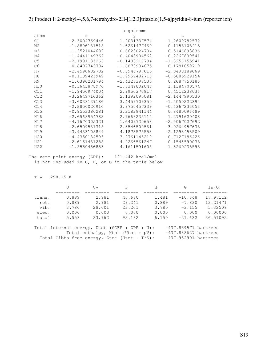# 3) Product I: 2-methyl-4,5,6,7-tetrahydro-2H-[1,2,3]triazolo[1,5-a]pyridin-8-ium (reporter ion)

|                |                 | angstroms       |                 |
|----------------|-----------------|-----------------|-----------------|
| atom           | X               | У               | Ζ               |
| C1             | $-2.5004769446$ | 1.2031337574    | $-1.2609782572$ |
| N <sub>2</sub> | $-1.8896131518$ | 1.6261477460    | $-0.1158108415$ |
| N <sub>3</sub> | $-1.2521044682$ | 0.6623024704    | 0.5146893836    |
| N <sub>4</sub> | $-1.4441149367$ | $-0.4048904562$ | $-0.2267839541$ |
| C <sub>5</sub> | $-2.1991135267$ | $-0.1403216784$ | $-1.3256155941$ |
| C <sub>6</sub> | $-0.8497742704$ | $-1.6873934675$ | 0.1781659719    |
| H7             | $-2.4590602782$ | $-0.8940797615$ | $-2.0498189669$ |
| H8             | $-0.1189425949$ | $-1.9959482718$ | $-0.5685929154$ |
| H9             | $-1.6390201794$ | $-2.4325398530$ | 0.2687750186    |
| H10            | $-0.3643878976$ | $-1.5349802048$ | 1.1384700574    |
| C11            | $-1.9450974004$ | 2.9956376917    | 0.4512238036    |
| C12            | $-3.2649716362$ | 2.1392095081    | $-2.1447990530$ |
| C13            | $-3.6038139186$ | 3.4459709350    | $-1.4050222894$ |
| C14            | $-2.3850020916$ | 3.9750457339    | $-0.6367233053$ |
| H15            | $-0.9553380281$ | 3.2182941144    | 0.8480096489    |
| H16            | $-2.6568954783$ | 2.9668235114    | 1.2791620408    |
| H17            | $-4.1670305321$ | 1.6409720658    | $-2.5067027692$ |
| H18            | $-2.6509531315$ | 2.3546502561    | $-3.0264957638$ |
| H19            | $-3.9433108849$ | 4.1873575553    | $-2.1293458509$ |
| H20            |                 | 3.2761145219    | $-0.7127186426$ |
| H21            | $-2.6161431288$ | 4.9266561247    | $-0.1546590078$ |
| H22            | $-1.5550486853$ | 4.1611591605    | $-1.3260235595$ |
|                | $-4.4350134593$ |                 |                 |

The zero point energy (ZPE): 121.442 kcal/mol is not included in U, H, or G in the table below

 $T = 298.15 K$ 

|        | U     | Cv     | S      | H     | G         | ln(0)    |
|--------|-------|--------|--------|-------|-----------|----------|
|        |       |        |        |       |           |          |
| trans. | 0.889 | 2.981  | 40.680 | 1.481 | $-10.648$ | 17.97112 |
| rot.   | 0.889 | 2.981  | 29.241 | 0.889 | $-7.830$  | 13.21471 |
| vib.   | 3.780 | 28.001 | 23.261 | 3.780 | $-3.155$  | 5.32508  |
| elec.  | 0.000 | 0.000  | 0.000  | 0.000 | 0.000     | 0.00000  |
| total  | 5.558 | 33.962 | 93.182 | 6.150 | $-21.632$ | 36.51092 |
|        |       |        |        |       |           |          |

| Total internal energy, Utot (SCFE + ZPE + U):  | $-437.889571$ hartrees |
|------------------------------------------------|------------------------|
| Total enthalpy, Htot (Utot + $pV$ ):           | $-437.888627$ hartrees |
| Total Gibbs free energy, Gtot (Htot - $T*S$ ): | $-437.932901$ hartrees |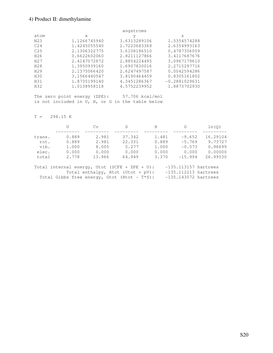# 4) Product II: dimethylamine

|                 |              | angstroms    |                 |
|-----------------|--------------|--------------|-----------------|
| atom            | X            | V            | Z.              |
| N23             | 1.1266745940 | 3.6313289106 | 1.5354574288    |
| C <sub>24</sub> | 1.4245055540 | 2.7223683368 | 2.6354993163    |
| C <sub>25</sub> | 2.1306322775 | 3.6108186510 | 0.4787356059    |
| H26             | 0.6622602060 | 2.8211127866 | 3.4117687676    |
| H <sub>27</sub> | 2.4147072872 | 2.8854224495 | 3.0967179610    |
| H28             | 1.3950939160 | 1.6907830016 | 2.2715297716    |
| H <sub>29</sub> | 2.1375066420 | 2.6247497587 | 0.0042594286    |
| H30             | 3.1566440547 | 3.8190464459 | 0.8305161802    |
| H31             | 1.8735199140 | 4.3451286367 | $-0.2881029631$ |
| H32             | 1.0138958118 | 4.5752239952 | 1.8873702930    |

 The zero point energy (ZPE): 57.706 kcal/mol is not included in U, H, or G in the table below

#### $T = 298.15 K$

|                                                                         |       | Cv     | S                                              | H     | G                      | ln(0)    |
|-------------------------------------------------------------------------|-------|--------|------------------------------------------------|-------|------------------------|----------|
|                                                                         |       |        |                                                |       |                        |          |
| trans.                                                                  | 0.889 | 2.981  | 37.342                                         | 1.481 | $-9.652$               | 16.29104 |
| rot.                                                                    | 0.889 | 2.981  | 22.331                                         | 0.889 | $-5.769$               | 9.73727  |
| vib.                                                                    | 1,000 | 8.005  | 5.277                                          | 1,000 | $-0.573$               | 0.96699  |
| elec.                                                                   | 0.000 | 0.000  | 0.000                                          | 0.000 | 0.000                  | 0.00000  |
| total                                                                   | 2.778 | 13.966 | 64.949                                         | 3.370 | $-15.994$              | 26.99530 |
|                                                                         |       |        |                                                |       |                        |          |
| $-135.113157$ hartrees<br>Total internal energy, Utot (SCFE + ZPE + U): |       |        |                                                |       |                        |          |
| $-135.112213$ hartrees<br>Total enthalpy, Htot (Utot + pV):             |       |        |                                                |       |                        |          |
|                                                                         |       |        | Total Gibbs free energy, Gtot (Htot - $T*S$ ): |       | $-135.143072$ hartrees |          |